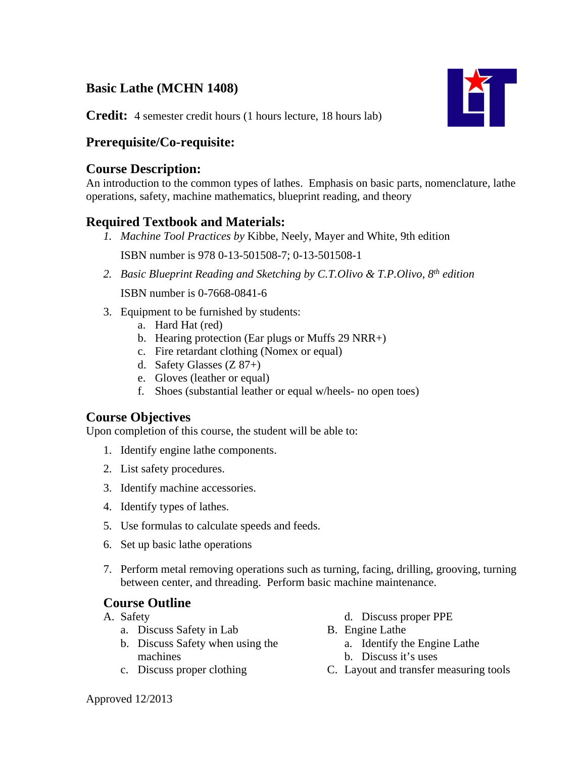# **Basic Lathe (MCHN 1408)**



**Credit:** 4 semester credit hours (1 hours lecture, 18 hours lab)

# **Prerequisite/Co-requisite:**

### **Course Description:**

An introduction to the common types of lathes. Emphasis on basic parts, nomenclature, lathe operations, safety, machine mathematics, blueprint reading, and theory

## **Required Textbook and Materials:**

*1. Machine Tool Practices by* Kibbe, Neely, Mayer and White, 9th edition

ISBN number is 978 0-13-501508-7; 0-13-501508-1

*2. Basic Blueprint Reading and Sketching by C.T.Olivo & T.P.Olivo, 8th edition* 

ISBN number is 0-7668-0841-6

- 3. Equipment to be furnished by students:
	- a. Hard Hat (red)
	- b. Hearing protection (Ear plugs or Muffs 29 NRR+)
	- c. Fire retardant clothing (Nomex or equal)
	- d. Safety Glasses (Z 87+)
	- e. Gloves (leather or equal)
	- f. Shoes (substantial leather or equal w/heels- no open toes)

## **Course Objectives**

Upon completion of this course, the student will be able to:

- 1. Identify engine lathe components.
- 2. List safety procedures.
- 3. Identify machine accessories.
- 4. Identify types of lathes.
- 5. Use formulas to calculate speeds and feeds.
- 6. Set up basic lathe operations
- 7. Perform metal removing operations such as turning, facing, drilling, grooving, turning between center, and threading. Perform basic machine maintenance.

## **Course Outline**

- A. Safety
	- a. Discuss Safety in Lab
	- b. Discuss Safety when using the machines
	- c. Discuss proper clothing
- d. Discuss proper PPE
- B. Engine Lathe
	- a. Identify the Engine Lathe
	- b. Discuss it's uses
- C. Layout and transfer measuring tools

Approved 12/2013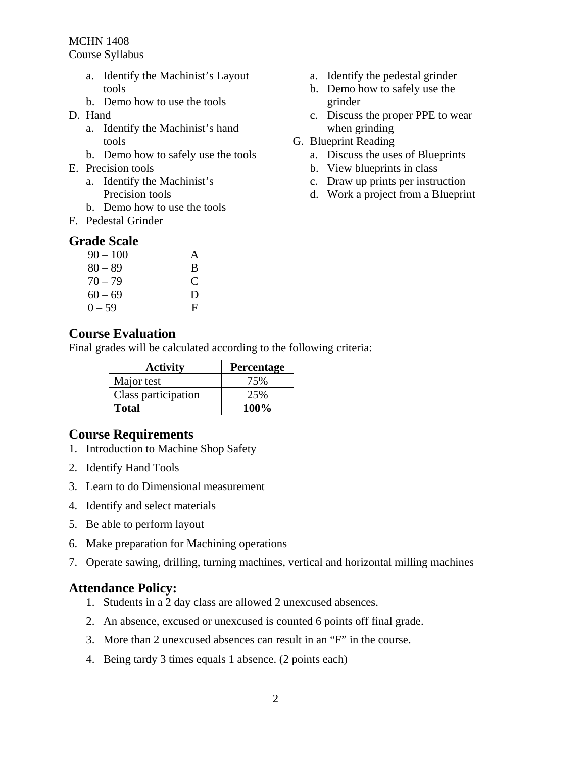MCHN 1408

Course Syllabus

- a. Identify the Machinist's Layout tools
- b. Demo how to use the tools
- D. Hand
	- a. Identify the Machinist's hand tools
	- b. Demo how to safely use the tools
- E. Precision tools
	- a. Identify the Machinist's Precision tools
	- b. Demo how to use the tools
- F. Pedestal Grinder

#### **Grade Scale**

| $90 - 100$ | A             |
|------------|---------------|
| $80 - 89$  | B             |
| $70 - 79$  | $\mathcal{C}$ |
| $60 - 69$  | D             |
| $0 - 59$   | F             |

#### a. Identify the pedestal grinder

- b. Demo how to safely use the grinder
- c. Discuss the proper PPE to wear when grinding
- G. Blueprint Reading
	- a. Discuss the uses of Blueprints
	- b. View blueprints in class
	- c. Draw up prints per instruction
	- d. Work a project from a Blueprint

### **Course Evaluation**

Final grades will be calculated according to the following criteria:

| <b>Activity</b>     | Percentage  |
|---------------------|-------------|
| Major test          | 75%         |
| Class participation | 25%         |
| <b>Total</b>        | <b>100%</b> |

### **Course Requirements**

- 1. Introduction to Machine Shop Safety
- 2. Identify Hand Tools
- 3. Learn to do Dimensional measurement
- 4. Identify and select materials
- 5. Be able to perform layout
- 6. Make preparation for Machining operations
- 7. Operate sawing, drilling, turning machines, vertical and horizontal milling machines

### **Attendance Policy:**

- 1. Students in a 2 day class are allowed 2 unexcused absences.
- 2. An absence, excused or unexcused is counted 6 points off final grade.
- 3. More than 2 unexcused absences can result in an "F" in the course.
- 4. Being tardy 3 times equals 1 absence. (2 points each)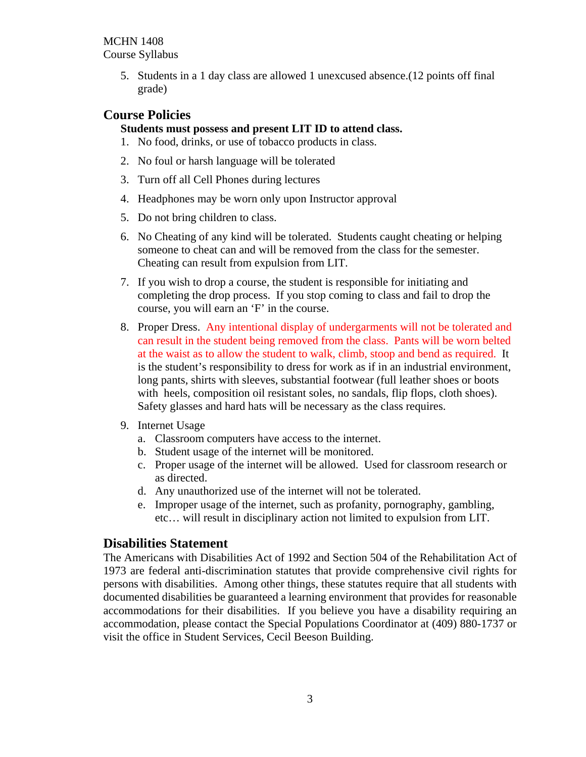MCHN 1408 Course Syllabus

> 5. Students in a 1 day class are allowed 1 unexcused absence.(12 points off final grade)

## **Course Policies**

#### **Students must possess and present LIT ID to attend class.**

- 1. No food, drinks, or use of tobacco products in class.
- 2. No foul or harsh language will be tolerated
- 3. Turn off all Cell Phones during lectures
- 4. Headphones may be worn only upon Instructor approval
- 5. Do not bring children to class.
- 6. No Cheating of any kind will be tolerated. Students caught cheating or helping someone to cheat can and will be removed from the class for the semester. Cheating can result from expulsion from LIT.
- 7. If you wish to drop a course, the student is responsible for initiating and completing the drop process. If you stop coming to class and fail to drop the course, you will earn an 'F' in the course.
- 8. Proper Dress. Any intentional display of undergarments will not be tolerated and can result in the student being removed from the class. Pants will be worn belted at the waist as to allow the student to walk, climb, stoop and bend as required. It is the student's responsibility to dress for work as if in an industrial environment, long pants, shirts with sleeves, substantial footwear (full leather shoes or boots with heels, composition oil resistant soles, no sandals, flip flops, cloth shoes). Safety glasses and hard hats will be necessary as the class requires.
- 9. Internet Usage
	- a. Classroom computers have access to the internet.
	- b. Student usage of the internet will be monitored.
	- c. Proper usage of the internet will be allowed. Used for classroom research or as directed.
	- d. Any unauthorized use of the internet will not be tolerated.
	- e. Improper usage of the internet, such as profanity, pornography, gambling, etc… will result in disciplinary action not limited to expulsion from LIT.

### **Disabilities Statement**

The Americans with Disabilities Act of 1992 and Section 504 of the Rehabilitation Act of 1973 are federal anti-discrimination statutes that provide comprehensive civil rights for persons with disabilities. Among other things, these statutes require that all students with documented disabilities be guaranteed a learning environment that provides for reasonable accommodations for their disabilities. If you believe you have a disability requiring an accommodation, please contact the Special Populations Coordinator at (409) 880-1737 or visit the office in Student Services, Cecil Beeson Building.